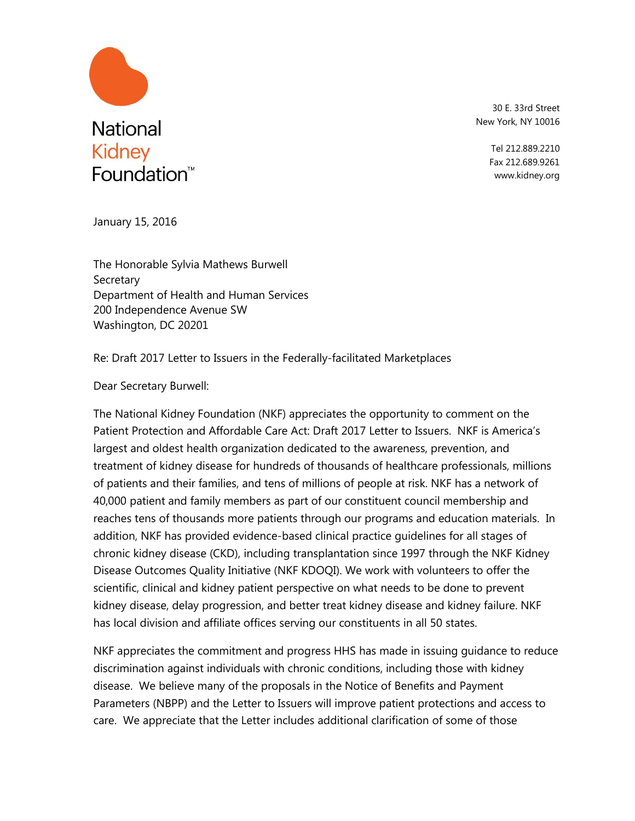

30 E. 33rd Street New York, NY 10016

> Tel 212.889.2210 Fax 212.689.9261 www.kidney.org

January 15, 2016

The Honorable Sylvia Mathews Burwell **Secretary** Department of Health and Human Services 200 Independence Avenue SW Washington, DC 20201

Re: Draft 2017 Letter to Issuers in the Federally-facilitated Marketplaces

Dear Secretary Burwell:

The National Kidney Foundation (NKF) appreciates the opportunity to comment on the Patient Protection and Affordable Care Act: Draft 2017 Letter to Issuers. NKF is America's largest and oldest health organization dedicated to the awareness, prevention, and treatment of kidney disease for hundreds of thousands of healthcare professionals, millions of patients and their families, and tens of millions of people at risk. NKF has a network of 40,000 patient and family members as part of our constituent council membership and reaches tens of thousands more patients through our programs and education materials. In addition, NKF has provided evidence-based clinical practice guidelines for all stages of chronic kidney disease (CKD), including transplantation since 1997 through the NKF Kidney Disease Outcomes Quality Initiative (NKF KDOQI). We work with volunteers to offer the scientific, clinical and kidney patient perspective on what needs to be done to prevent kidney disease, delay progression, and better treat kidney disease and kidney failure. NKF has local division and affiliate offices serving our constituents in all 50 states.

NKF appreciates the commitment and progress HHS has made in issuing guidance to reduce discrimination against individuals with chronic conditions, including those with kidney disease. We believe many of the proposals in the Notice of Benefits and Payment Parameters (NBPP) and the Letter to Issuers will improve patient protections and access to care. We appreciate that the Letter includes additional clarification of some of those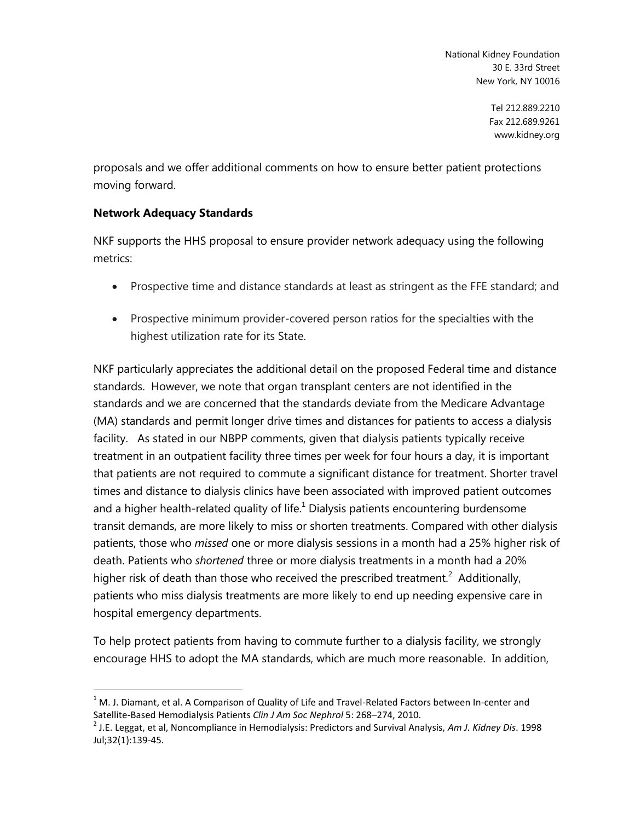> Tel 212.889.2210 Fax 212.689.9261 www.kidney.org

proposals and we offer additional comments on how to ensure better patient protections moving forward.

### **Network Adequacy Standards**

 $\overline{a}$ 

NKF supports the HHS proposal to ensure provider network adequacy using the following metrics:

- Prospective time and distance standards at least as stringent as the FFE standard; and
- Prospective minimum provider-covered person ratios for the specialties with the highest utilization rate for its State.

NKF particularly appreciates the additional detail on the proposed Federal time and distance standards. However, we note that organ transplant centers are not identified in the standards and we are concerned that the standards deviate from the Medicare Advantage (MA) standards and permit longer drive times and distances for patients to access a dialysis facility. As stated in our NBPP comments, given that dialysis patients typically receive treatment in an outpatient facility three times per week for four hours a day, it is important that patients are not required to commute a significant distance for treatment. Shorter travel times and distance to dialysis clinics have been associated with improved patient outcomes and a higher health-related quality of life. $1$  Dialysis patients encountering burdensome transit demands, are more likely to miss or shorten treatments. Compared with other dialysis patients, those who *missed* one or more dialysis sessions in a month had a 25% higher risk of death. Patients who *shortened* three or more dialysis treatments in a month had a 20% higher risk of death than those who received the prescribed treatment.<sup>2</sup> Additionally, patients who miss dialysis treatments are more likely to end up needing expensive care in hospital emergency departments.

To help protect patients from having to commute further to a dialysis facility, we strongly encourage HHS to adopt the MA standards, which are much more reasonable. In addition,

 $1$  M. J. Diamant, et al. A Comparison of Quality of Life and Travel-Related Factors between In-center and Satellite-Based Hemodialysis Patients *Clin J Am Soc Nephrol* 5: 268–274, 2010.

<sup>2</sup> J.E. Leggat, et al, Noncompliance in Hemodialysis: Predictors and Survival Analysis, *Am J. Kidney Dis*. 1998 Jul;32(1):139-45.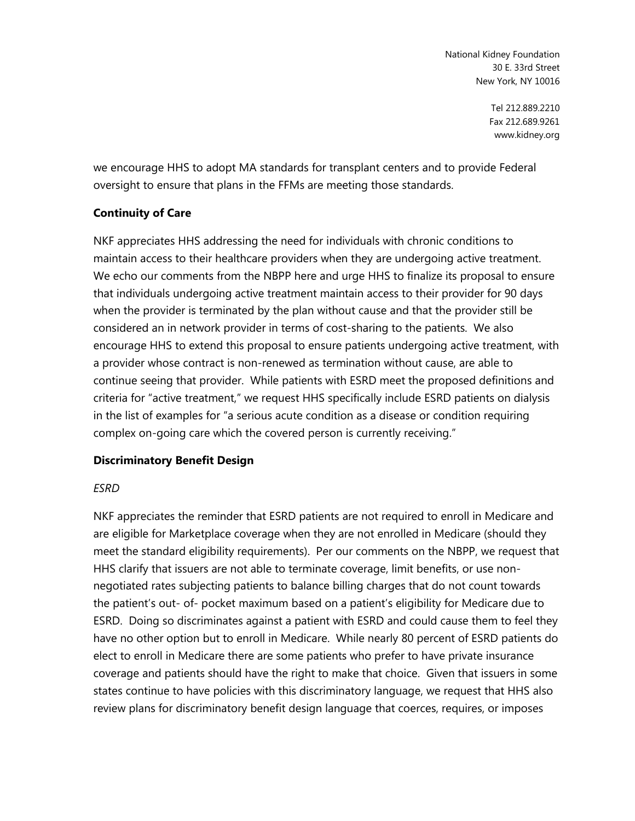> Tel 212.889.2210 Fax 212.689.9261 www.kidney.org

we encourage HHS to adopt MA standards for transplant centers and to provide Federal oversight to ensure that plans in the FFMs are meeting those standards.

### **Continuity of Care**

NKF appreciates HHS addressing the need for individuals with chronic conditions to maintain access to their healthcare providers when they are undergoing active treatment. We echo our comments from the NBPP here and urge HHS to finalize its proposal to ensure that individuals undergoing active treatment maintain access to their provider for 90 days when the provider is terminated by the plan without cause and that the provider still be considered an in network provider in terms of cost-sharing to the patients. We also encourage HHS to extend this proposal to ensure patients undergoing active treatment, with a provider whose contract is non-renewed as termination without cause, are able to continue seeing that provider. While patients with ESRD meet the proposed definitions and criteria for "active treatment," we request HHS specifically include ESRD patients on dialysis in the list of examples for "a serious acute condition as a disease or condition requiring complex on-going care which the covered person is currently receiving."

### **Discriminatory Benefit Design**

### *ESRD*

NKF appreciates the reminder that ESRD patients are not required to enroll in Medicare and are eligible for Marketplace coverage when they are not enrolled in Medicare (should they meet the standard eligibility requirements). Per our comments on the NBPP, we request that HHS clarify that issuers are not able to terminate coverage, limit benefits, or use nonnegotiated rates subjecting patients to balance billing charges that do not count towards the patient's out- of- pocket maximum based on a patient's eligibility for Medicare due to ESRD. Doing so discriminates against a patient with ESRD and could cause them to feel they have no other option but to enroll in Medicare. While nearly 80 percent of ESRD patients do elect to enroll in Medicare there are some patients who prefer to have private insurance coverage and patients should have the right to make that choice. Given that issuers in some states continue to have policies with this discriminatory language, we request that HHS also review plans for discriminatory benefit design language that coerces, requires, or imposes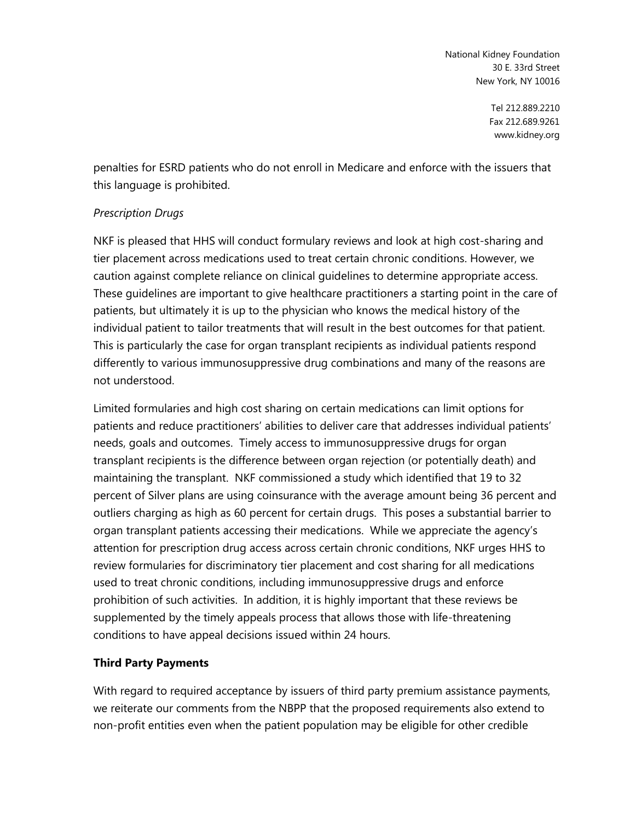> Tel 212.889.2210 Fax 212.689.9261 www.kidney.org

penalties for ESRD patients who do not enroll in Medicare and enforce with the issuers that this language is prohibited.

### *Prescription Drugs*

NKF is pleased that HHS will conduct formulary reviews and look at high cost-sharing and tier placement across medications used to treat certain chronic conditions. However, we caution against complete reliance on clinical guidelines to determine appropriate access. These guidelines are important to give healthcare practitioners a starting point in the care of patients, but ultimately it is up to the physician who knows the medical history of the individual patient to tailor treatments that will result in the best outcomes for that patient. This is particularly the case for organ transplant recipients as individual patients respond differently to various immunosuppressive drug combinations and many of the reasons are not understood.

Limited formularies and high cost sharing on certain medications can limit options for patients and reduce practitioners' abilities to deliver care that addresses individual patients' needs, goals and outcomes. Timely access to immunosuppressive drugs for organ transplant recipients is the difference between organ rejection (or potentially death) and maintaining the transplant. NKF commissioned a study which identified that 19 to 32 percent of Silver plans are using coinsurance with the average amount being 36 percent and outliers charging as high as 60 percent for certain drugs. This poses a substantial barrier to organ transplant patients accessing their medications. While we appreciate the agency's attention for prescription drug access across certain chronic conditions, NKF urges HHS to review formularies for discriminatory tier placement and cost sharing for all medications used to treat chronic conditions, including immunosuppressive drugs and enforce prohibition of such activities. In addition, it is highly important that these reviews be supplemented by the timely appeals process that allows those with life-threatening conditions to have appeal decisions issued within 24 hours.

## **Third Party Payments**

With regard to required acceptance by issuers of third party premium assistance payments, we reiterate our comments from the NBPP that the proposed requirements also extend to non-profit entities even when the patient population may be eligible for other credible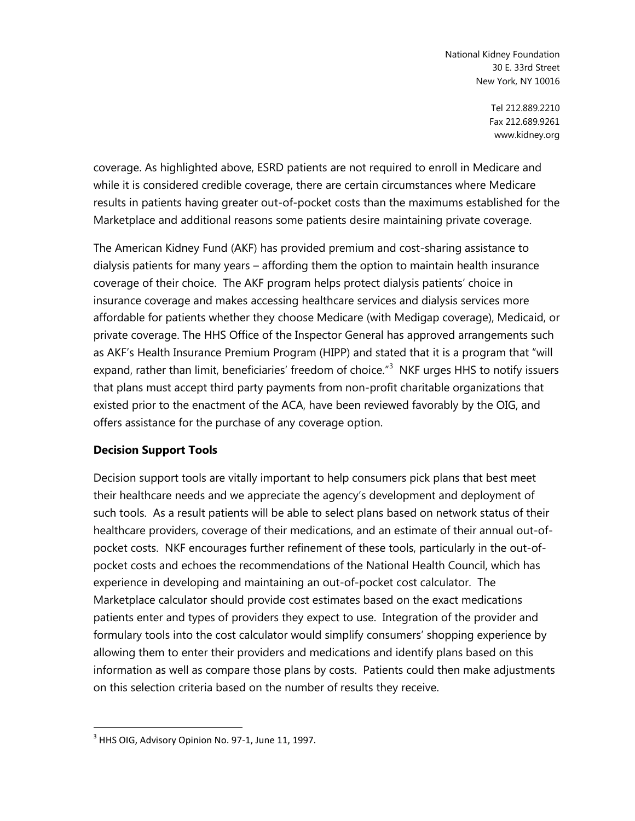> Tel 212.889.2210 Fax 212.689.9261 www.kidney.org

coverage. As highlighted above, ESRD patients are not required to enroll in Medicare and while it is considered credible coverage, there are certain circumstances where Medicare results in patients having greater out-of-pocket costs than the maximums established for the Marketplace and additional reasons some patients desire maintaining private coverage.

The American Kidney Fund (AKF) has provided premium and cost-sharing assistance to dialysis patients for many years – affording them the option to maintain health insurance coverage of their choice. The AKF program helps protect dialysis patients' choice in insurance coverage and makes accessing healthcare services and dialysis services more affordable for patients whether they choose Medicare (with Medigap coverage), Medicaid, or private coverage. The HHS Office of the Inspector General has approved arrangements such as AKF's Health Insurance Premium Program (HIPP) and stated that it is a program that "will expand, rather than limit, beneficiaries' freedom of choice."<sup>3</sup> NKF urges HHS to notify issuers that plans must accept third party payments from non-profit charitable organizations that existed prior to the enactment of the ACA, have been reviewed favorably by the OIG, and offers assistance for the purchase of any coverage option.

### **Decision Support Tools**

Decision support tools are vitally important to help consumers pick plans that best meet their healthcare needs and we appreciate the agency's development and deployment of such tools. As a result patients will be able to select plans based on network status of their healthcare providers, coverage of their medications, and an estimate of their annual out-ofpocket costs. NKF encourages further refinement of these tools, particularly in the out-ofpocket costs and echoes the recommendations of the National Health Council, which has experience in developing and maintaining an out-of-pocket cost calculator. The Marketplace calculator should provide cost estimates based on the exact medications patients enter and types of providers they expect to use. Integration of the provider and formulary tools into the cost calculator would simplify consumers' shopping experience by allowing them to enter their providers and medications and identify plans based on this information as well as compare those plans by costs. Patients could then make adjustments on this selection criteria based on the number of results they receive.

 $\overline{a}$ 

 $^3$  HHS OIG, Advisory Opinion No. 97-1, June 11, 1997.